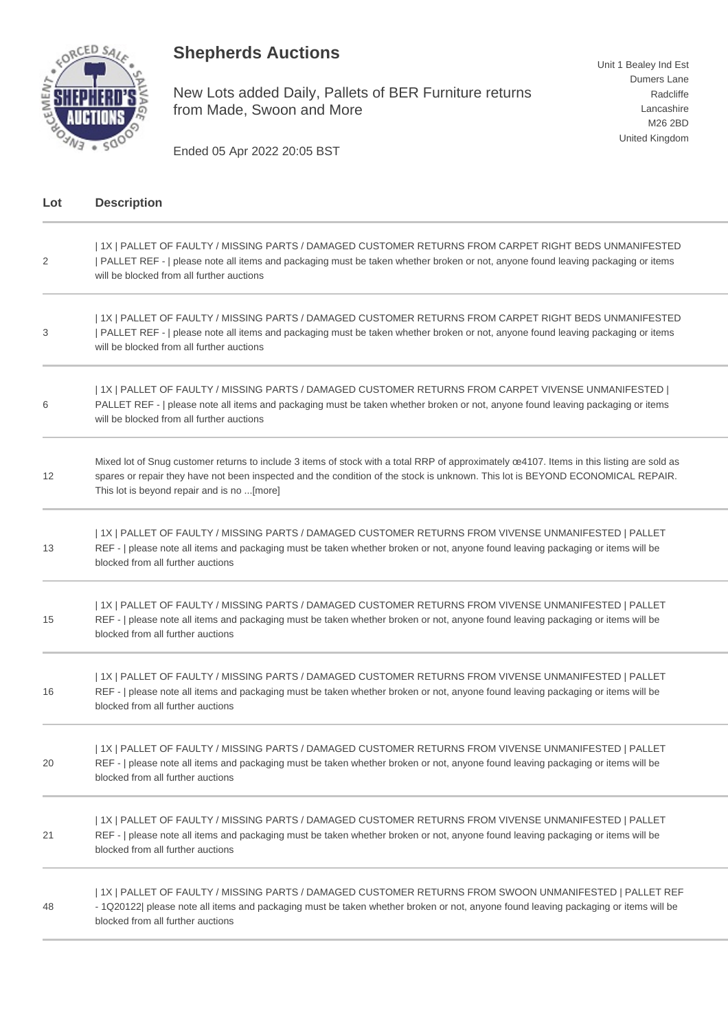## **Shepherds Auctions**



New Lots added Daily, Pallets of BER Furniture returns from Made, Swoon and More

Unit 1 Bealey Ind Est Dumers Lane Radcliffe Lancashire M26 2BD United Kingdom

Ended 05 Apr 2022 20:05 BST

| Lot | <b>Description</b>                                                                                                                                                                                                                                                                                                         |
|-----|----------------------------------------------------------------------------------------------------------------------------------------------------------------------------------------------------------------------------------------------------------------------------------------------------------------------------|
| 2   | 1X   PALLET OF FAULTY / MISSING PARTS / DAMAGED CUSTOMER RETURNS FROM CARPET RIGHT BEDS UNMANIFESTED<br>PALLET REF -   please note all items and packaging must be taken whether broken or not, anyone found leaving packaging or items<br>will be blocked from all further auctions                                       |
| 3   | 1X   PALLET OF FAULTY / MISSING PARTS / DAMAGED CUSTOMER RETURNS FROM CARPET RIGHT BEDS UNMANIFESTED<br>PALLET REF -   please note all items and packaging must be taken whether broken or not, anyone found leaving packaging or items<br>will be blocked from all further auctions                                       |
| 6   | 1X   PALLET OF FAULTY / MISSING PARTS / DAMAGED CUSTOMER RETURNS FROM CARPET VIVENSE UNMANIFESTED  <br>PALLET REF -   please note all items and packaging must be taken whether broken or not, anyone found leaving packaging or items<br>will be blocked from all further auctions                                        |
| 12  | Mixed lot of Snug customer returns to include 3 items of stock with a total RRP of approximately ce4107. Items in this listing are sold as<br>spares or repair they have not been inspected and the condition of the stock is unknown. This lot is BEYOND ECONOMICAL REPAIR.<br>This lot is beyond repair and is no [more] |
| 13  | 1X   PALLET OF FAULTY / MISSING PARTS / DAMAGED CUSTOMER RETURNS FROM VIVENSE UNMANIFESTED   PALLET<br>REF -   please note all items and packaging must be taken whether broken or not, anyone found leaving packaging or items will be<br>blocked from all further auctions                                               |
| 15  | 1X   PALLET OF FAULTY / MISSING PARTS / DAMAGED CUSTOMER RETURNS FROM VIVENSE UNMANIFESTED   PALLET<br>REF -   please note all items and packaging must be taken whether broken or not, anyone found leaving packaging or items will be<br>blocked from all further auctions                                               |
| 16  | 1X   PALLET OF FAULTY / MISSING PARTS / DAMAGED CUSTOMER RETURNS FROM VIVENSE UNMANIFESTED   PALLET<br>REF -   please note all items and packaging must be taken whether broken or not, anyone found leaving packaging or items will be<br>blocked from all further auctions                                               |
| 20  | 1X   PALLET OF FAULTY / MISSING PARTS / DAMAGED CUSTOMER RETURNS FROM VIVENSE UNMANIFESTED   PALLET<br>REF -   please note all items and packaging must be taken whether broken or not, anyone found leaving packaging or items will be<br>blocked from all further auctions                                               |
| 21  | 1X   PALLET OF FAULTY / MISSING PARTS / DAMAGED CUSTOMER RETURNS FROM VIVENSE UNMANIFESTED   PALLET<br>REF -   please note all items and packaging must be taken whether broken or not, anyone found leaving packaging or items will be<br>blocked from all further auctions                                               |
| 48  | 1X   PALLET OF FAULTY / MISSING PARTS / DAMAGED CUSTOMER RETURNS FROM SWOON UNMANIFESTED   PALLET REF<br>- 1Q20122  please note all items and packaging must be taken whether broken or not, anyone found leaving packaging or items will be<br>blocked from all further auctions                                          |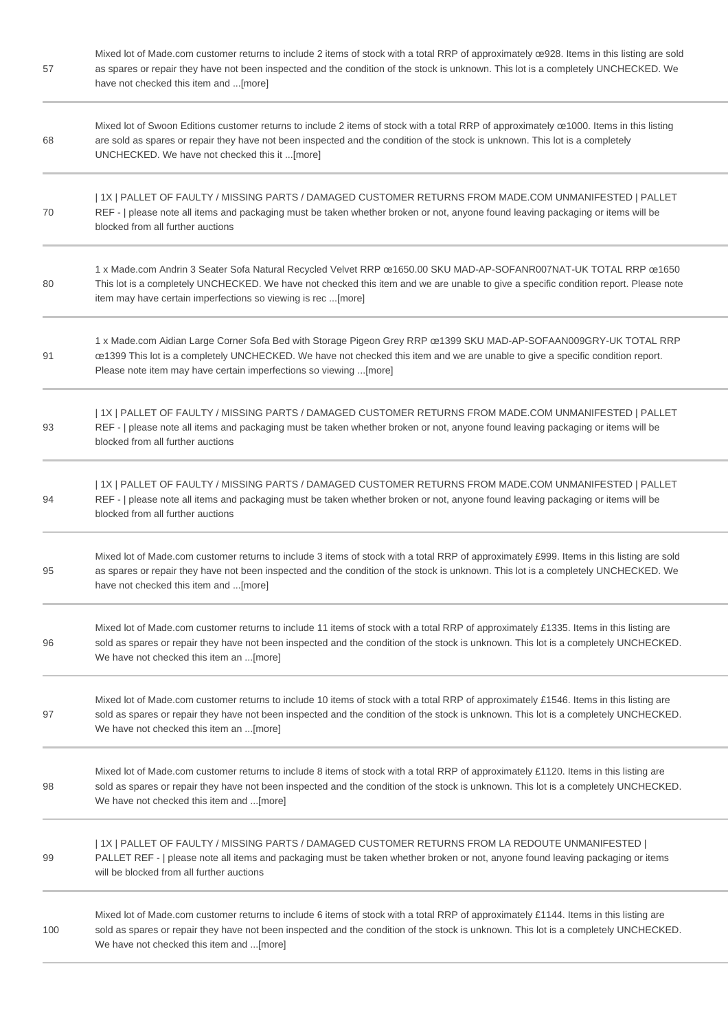| 57  | Mixed lot of Made.com customer returns to include 2 items of stock with a total RRP of approximately œ928. Items in this listing are sold<br>as spares or repair they have not been inspected and the condition of the stock is unknown. This lot is a completely UNCHECKED. We<br>have not checked this item and  [more]   |
|-----|-----------------------------------------------------------------------------------------------------------------------------------------------------------------------------------------------------------------------------------------------------------------------------------------------------------------------------|
| 68  | Mixed lot of Swoon Editions customer returns to include 2 items of stock with a total RRP of approximately ce1000. Items in this listing<br>are sold as spares or repair they have not been inspected and the condition of the stock is unknown. This lot is a completely<br>UNCHECKED. We have not checked this it [more]  |
| 70  | 1X   PALLET OF FAULTY / MISSING PARTS / DAMAGED CUSTOMER RETURNS FROM MADE.COM UNMANIFESTED   PALLET<br>REF -   please note all items and packaging must be taken whether broken or not, anyone found leaving packaging or items will be<br>blocked from all further auctions                                               |
| 80  | 1 x Made.com Andrin 3 Seater Sofa Natural Recycled Velvet RRP ce1650.00 SKU MAD-AP-SOFANR007NAT-UK TOTAL RRP ce1650<br>This lot is a completely UNCHECKED. We have not checked this item and we are unable to give a specific condition report. Please note<br>item may have certain imperfections so viewing is rec [more] |
| 91  | 1 x Made.com Aidian Large Corner Sofa Bed with Storage Pigeon Grey RRP ce1399 SKU MAD-AP-SOFAAN009GRY-UK TOTAL RRP<br>œ1399 This lot is a completely UNCHECKED. We have not checked this item and we are unable to give a specific condition report.<br>Please note item may have certain imperfections so viewing [more]   |
| 93  | 1X   PALLET OF FAULTY / MISSING PARTS / DAMAGED CUSTOMER RETURNS FROM MADE.COM UNMANIFESTED   PALLET<br>REF -   please note all items and packaging must be taken whether broken or not, anyone found leaving packaging or items will be<br>blocked from all further auctions                                               |
| 94  | 1X   PALLET OF FAULTY / MISSING PARTS / DAMAGED CUSTOMER RETURNS FROM MADE.COM UNMANIFESTED   PALLET<br>REF -   please note all items and packaging must be taken whether broken or not, anyone found leaving packaging or items will be<br>blocked from all further auctions                                               |
| 95  | Mixed lot of Made.com customer returns to include 3 items of stock with a total RRP of approximately £999. Items in this listing are sold<br>as spares or repair they have not been inspected and the condition of the stock is unknown. This lot is a completely UNCHECKED. We<br>have not checked this item and [more]    |
| 96  | Mixed lot of Made.com customer returns to include 11 items of stock with a total RRP of approximately £1335. Items in this listing are<br>sold as spares or repair they have not been inspected and the condition of the stock is unknown. This lot is a completely UNCHECKED.<br>We have not checked this item an [more]   |
| 97  | Mixed lot of Made.com customer returns to include 10 items of stock with a total RRP of approximately £1546. Items in this listing are<br>sold as spares or repair they have not been inspected and the condition of the stock is unknown. This lot is a completely UNCHECKED.<br>We have not checked this item an [more]   |
| 98  | Mixed lot of Made.com customer returns to include 8 items of stock with a total RRP of approximately £1120. Items in this listing are<br>sold as spares or repair they have not been inspected and the condition of the stock is unknown. This lot is a completely UNCHECKED.<br>We have not checked this item and [more]   |
| 99  | 1X   PALLET OF FAULTY / MISSING PARTS / DAMAGED CUSTOMER RETURNS FROM LA REDOUTE UNMANIFESTED  <br>PALLET REF -   please note all items and packaging must be taken whether broken or not, anyone found leaving packaging or items<br>will be blocked from all further auctions                                             |
| 100 | Mixed lot of Made.com customer returns to include 6 items of stock with a total RRP of approximately £1144. Items in this listing are<br>sold as spares or repair they have not been inspected and the condition of the stock is unknown. This lot is a completely UNCHECKED.<br>We have not checked this item and [more]   |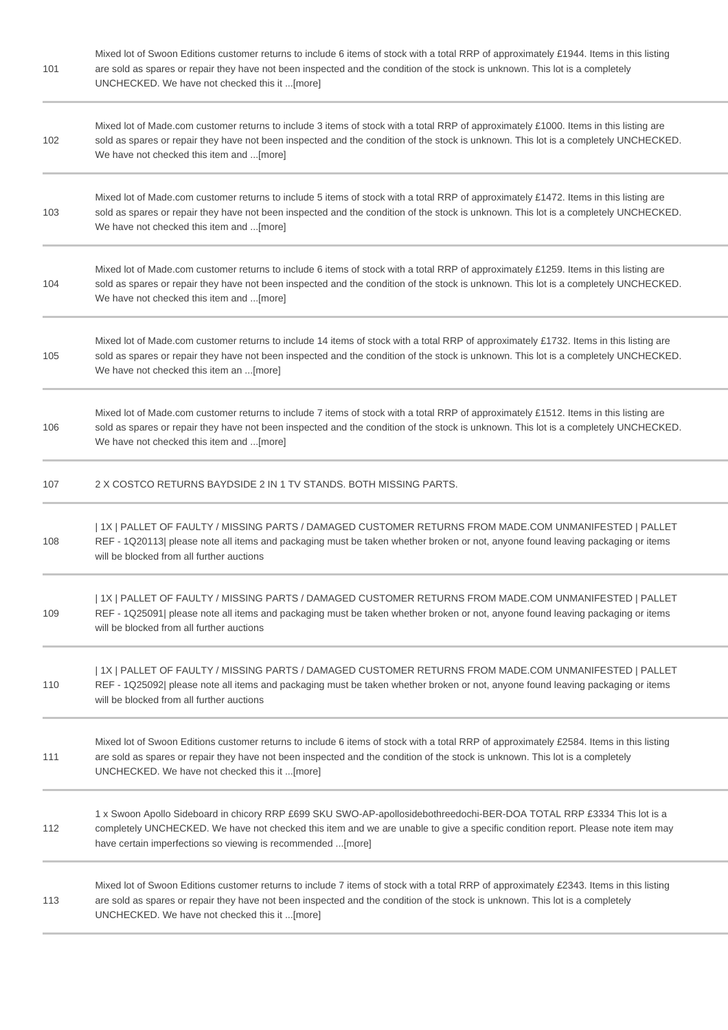| 101 | Mixed lot of Swoon Editions customer returns to include 6 items of stock with a total RRP of approximately £1944. Items in this listing<br>are sold as spares or repair they have not been inspected and the condition of the stock is unknown. This lot is a completely<br>UNCHECKED. We have not checked this it [more] |
|-----|---------------------------------------------------------------------------------------------------------------------------------------------------------------------------------------------------------------------------------------------------------------------------------------------------------------------------|
| 102 | Mixed lot of Made.com customer returns to include 3 items of stock with a total RRP of approximately £1000. Items in this listing are<br>sold as spares or repair they have not been inspected and the condition of the stock is unknown. This lot is a completely UNCHECKED.<br>We have not checked this item and [more] |
| 103 | Mixed lot of Made.com customer returns to include 5 items of stock with a total RRP of approximately £1472. Items in this listing are<br>sold as spares or repair they have not been inspected and the condition of the stock is unknown. This lot is a completely UNCHECKED.<br>We have not checked this item and [more] |
| 104 | Mixed lot of Made.com customer returns to include 6 items of stock with a total RRP of approximately £1259. Items in this listing are<br>sold as spares or repair they have not been inspected and the condition of the stock is unknown. This lot is a completely UNCHECKED.<br>We have not checked this item and [more] |
| 105 | Mixed lot of Made.com customer returns to include 14 items of stock with a total RRP of approximately £1732. Items in this listing are<br>sold as spares or repair they have not been inspected and the condition of the stock is unknown. This lot is a completely UNCHECKED.<br>We have not checked this item an [more] |
| 106 | Mixed lot of Made.com customer returns to include 7 items of stock with a total RRP of approximately £1512. Items in this listing are<br>sold as spares or repair they have not been inspected and the condition of the stock is unknown. This lot is a completely UNCHECKED.<br>We have not checked this item and [more] |
| 107 | 2 X COSTCO RETURNS BAYDSIDE 2 IN 1 TV STANDS. BOTH MISSING PARTS.                                                                                                                                                                                                                                                         |
| 108 | 1X   PALLET OF FAULTY / MISSING PARTS / DAMAGED CUSTOMER RETURNS FROM MADE.COM UNMANIFESTED   PALLET<br>REF - 1Q20113  please note all items and packaging must be taken whether broken or not, anyone found leaving packaging or items<br>will be blocked from all further auctions                                      |
| 109 | 1X   PALLET OF FAULTY / MISSING PARTS / DAMAGED CUSTOMER RETURNS FROM MADE.COM UNMANIFESTED   PALLET<br>REF - 1Q25091  please note all items and packaging must be taken whether broken or not, anyone found leaving packaging or items<br>will be blocked from all further auctions                                      |
| 110 | 1X   PALLET OF FAULTY / MISSING PARTS / DAMAGED CUSTOMER RETURNS FROM MADE.COM UNMANIFESTED   PALLET<br>REF - 1Q25092  please note all items and packaging must be taken whether broken or not, anyone found leaving packaging or items<br>will be blocked from all further auctions                                      |
| 111 | Mixed lot of Swoon Editions customer returns to include 6 items of stock with a total RRP of approximately £2584. Items in this listing<br>are sold as spares or repair they have not been inspected and the condition of the stock is unknown. This lot is a completely<br>UNCHECKED. We have not checked this it [more] |
| 112 | 1 x Swoon Apollo Sideboard in chicory RRP £699 SKU SWO-AP-apollosidebothreedochi-BER-DOA TOTAL RRP £3334 This lot is a<br>completely UNCHECKED. We have not checked this item and we are unable to give a specific condition report. Please note item may<br>have certain imperfections so viewing is recommended [more]  |
| 113 | Mixed lot of Swoon Editions customer returns to include 7 items of stock with a total RRP of approximately £2343. Items in this listing<br>are sold as spares or repair they have not been inspected and the condition of the stock is unknown. This lot is a completely<br>UNCHECKED. We have not checked this it [more] |